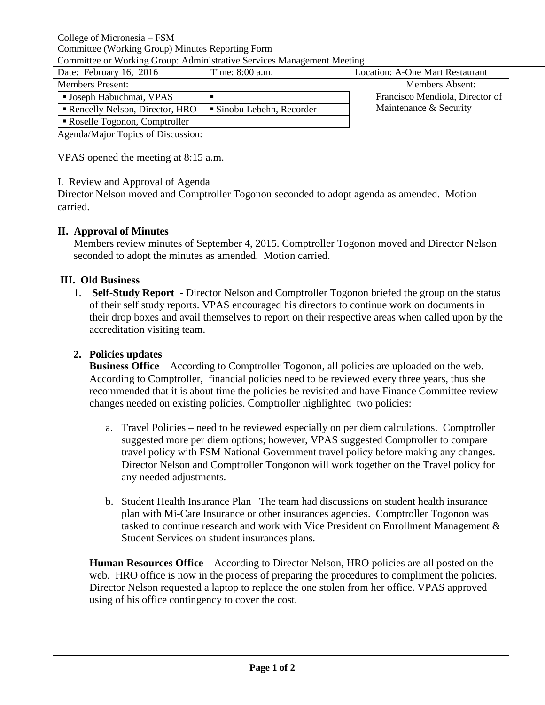College of Micronesia – FSM

Committee (Working Group) Minutes Reporting Form

| Committee or Working Group: Administrative Services Management Meeting |                         |  |                                        |  |
|------------------------------------------------------------------------|-------------------------|--|----------------------------------------|--|
| Date: February 16, 2016                                                | Time: 8:00 a.m.         |  | <b>Location: A-One Mart Restaurant</b> |  |
| <b>Members Present:</b>                                                |                         |  | <b>Members Absent:</b>                 |  |
| <b>Joseph Habuchmai, VPAS</b>                                          |                         |  | Francisco Mendiola, Director of        |  |
| Rencelly Nelson, Director, HRO                                         | Sinobu Lebehn, Recorder |  | Maintenance & Security                 |  |
| Roselle Togonon, Comptroller                                           |                         |  |                                        |  |
| Agenda/Major Topics of Discussion:                                     |                         |  |                                        |  |

VPAS opened the meeting at 8:15 a.m.

I. Review and Approval of Agenda

Director Nelson moved and Comptroller Togonon seconded to adopt agenda as amended. Motion carried.

# **II. Approval of Minutes**

Members review minutes of September 4, 2015. Comptroller Togonon moved and Director Nelson seconded to adopt the minutes as amended. Motion carried.

# **III. Old Business**

1. **Self-Study Report** - Director Nelson and Comptroller Togonon briefed the group on the status of their self study reports. VPAS encouraged his directors to continue work on documents in their drop boxes and avail themselves to report on their respective areas when called upon by the accreditation visiting team.

# **2. Policies updates**

**Business Office** – According to Comptroller Togonon, all policies are uploaded on the web. According to Comptroller, financial policies need to be reviewed every three years, thus she recommended that it is about time the policies be revisited and have Finance Committee review changes needed on existing policies. Comptroller highlighted two policies:

- a. Travel Policies need to be reviewed especially on per diem calculations. Comptroller suggested more per diem options; however, VPAS suggested Comptroller to compare travel policy with FSM National Government travel policy before making any changes. Director Nelson and Comptroller Tongonon will work together on the Travel policy for any needed adjustments.
- b. Student Health Insurance Plan –The team had discussions on student health insurance plan with Mi-Care Insurance or other insurances agencies. Comptroller Togonon was tasked to continue research and work with Vice President on Enrollment Management & Student Services on student insurances plans.

**Human Resources Office –** According to Director Nelson, HRO policies are all posted on the web. HRO office is now in the process of preparing the procedures to compliment the policies. Director Nelson requested a laptop to replace the one stolen from her office. VPAS approved using of his office contingency to cover the cost.